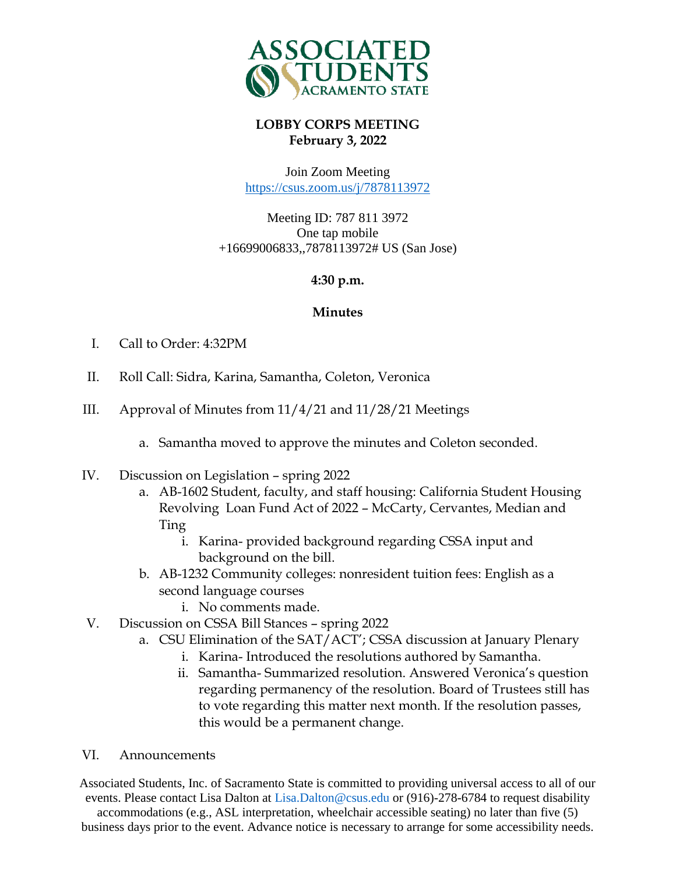

# **LOBBY CORPS MEETING February 3, 2022**

Join Zoom Meeting <https://csus.zoom.us/j/7878113972>

Meeting ID: 787 811 3972 One tap mobile +16699006833,,7878113972# US (San Jose)

## **4:30 p.m.**

## **Minutes**

- I. Call to Order: 4:32PM
- II. Roll Call: Sidra, Karina, Samantha, Coleton, Veronica
- III. Approval of Minutes from 11/4/21 and 11/28/21 Meetings
	- a. Samantha moved to approve the minutes and Coleton seconded.
- IV. Discussion on Legislation spring 2022
	- a. AB-1602 Student, faculty, and staff housing: California Student Housing Revolving Loan Fund Act of 2022 – McCarty, Cervantes, Median and Ting
		- i. Karina- provided background regarding CSSA input and background on the bill.
	- b. AB-1232 Community colleges: nonresident tuition fees: English as a second language courses
		- i. No comments made.
- V. Discussion on CSSA Bill Stances spring 2022
	- a. CSU Elimination of the SAT/ACT'; CSSA discussion at January Plenary
		- i. Karina- Introduced the resolutions authored by Samantha.
		- ii. Samantha- Summarized resolution. Answered Veronica's question regarding permanency of the resolution. Board of Trustees still has to vote regarding this matter next month. If the resolution passes, this would be a permanent change.

### VI. Announcements

Associated Students, Inc. of Sacramento State is committed to providing universal access to all of our events. Please contact Lisa Dalton at Lisa.Dalton@csus.edu or (916)-278-6784 to request disability

accommodations (e.g., ASL interpretation, wheelchair accessible seating) no later than five (5) business days prior to the event. Advance notice is necessary to arrange for some accessibility needs.